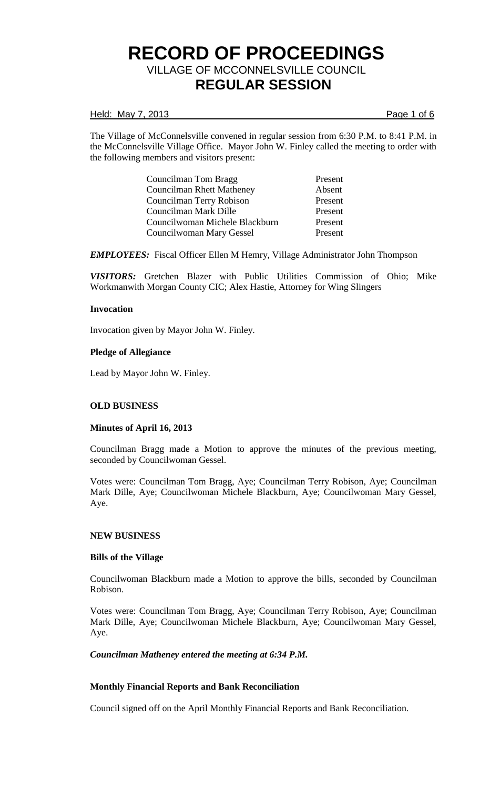### Held: May 7, 2013 **Page 1 of 6**

The Village of McConnelsville convened in regular session from 6:30 P.M. to 8:41 P.M. in the McConnelsville Village Office. Mayor John W. Finley called the meeting to order with the following members and visitors present:

| Councilman Tom Bragg           | Present |
|--------------------------------|---------|
| Councilman Rhett Matheney      | Absent  |
| Councilman Terry Robison       | Present |
| Councilman Mark Dille          | Present |
| Councilwoman Michele Blackburn | Present |
| Councilwoman Mary Gessel       | Present |

*EMPLOYEES:* Fiscal Officer Ellen M Hemry, Village Administrator John Thompson

*VISITORS:* Gretchen Blazer with Public Utilities Commission of Ohio; Mike Workmanwith Morgan County CIC; Alex Hastie, Attorney for Wing Slingers

## **Invocation**

Invocation given by Mayor John W. Finley.

## **Pledge of Allegiance**

Lead by Mayor John W. Finley.

## **OLD BUSINESS**

## **Minutes of April 16, 2013**

Councilman Bragg made a Motion to approve the minutes of the previous meeting, seconded by Councilwoman Gessel.

Votes were: Councilman Tom Bragg, Aye; Councilman Terry Robison, Aye; Councilman Mark Dille, Aye; Councilwoman Michele Blackburn, Aye; Councilwoman Mary Gessel, Aye.

## **NEW BUSINESS**

### **Bills of the Village**

Councilwoman Blackburn made a Motion to approve the bills, seconded by Councilman Robison.

Votes were: Councilman Tom Bragg, Aye; Councilman Terry Robison, Aye; Councilman Mark Dille, Aye; Councilwoman Michele Blackburn, Aye; Councilwoman Mary Gessel, Aye.

*Councilman Matheney entered the meeting at 6:34 P.M.*

## **Monthly Financial Reports and Bank Reconciliation**

Council signed off on the April Monthly Financial Reports and Bank Reconciliation.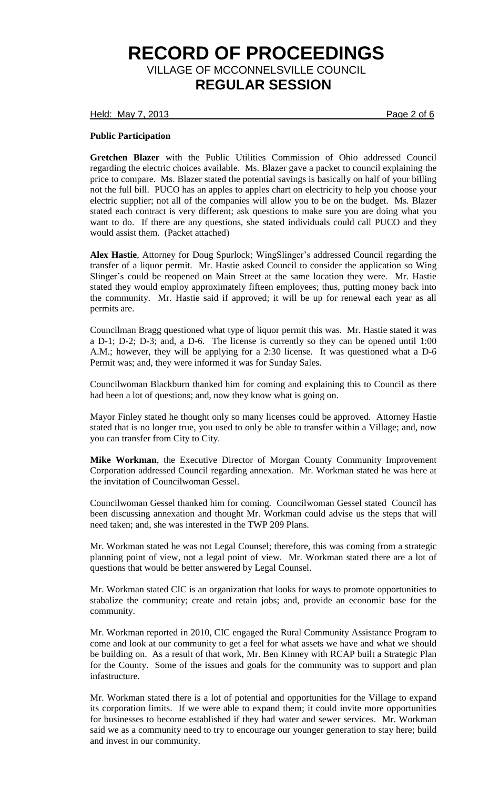Held: May 7, 2013 **Page 2 of 6** 

## **Public Participation**

**Gretchen Blazer** with the Public Utilities Commission of Ohio addressed Council regarding the electric choices available. Ms. Blazer gave a packet to council explaining the price to compare. Ms. Blazer stated the potential savings is basically on half of your billing not the full bill. PUCO has an apples to apples chart on electricity to help you choose your electric supplier; not all of the companies will allow you to be on the budget. Ms. Blazer stated each contract is very different; ask questions to make sure you are doing what you want to do. If there are any questions, she stated individuals could call PUCO and they would assist them. (Packet attached)

**Alex Hastie**, Attorney for Doug Spurlock; WingSlinger's addressed Council regarding the transfer of a liquor permit. Mr. Hastie asked Council to consider the application so Wing Slinger's could be reopened on Main Street at the same location they were. Mr. Hastie stated they would employ approximately fifteen employees; thus, putting money back into the community. Mr. Hastie said if approved; it will be up for renewal each year as all permits are.

Councilman Bragg questioned what type of liquor permit this was. Mr. Hastie stated it was a D-1; D-2; D-3; and, a D-6. The license is currently so they can be opened until 1:00 A.M.; however, they will be applying for a 2:30 license. It was questioned what a D-6 Permit was; and, they were informed it was for Sunday Sales.

Councilwoman Blackburn thanked him for coming and explaining this to Council as there had been a lot of questions; and, now they know what is going on.

Mayor Finley stated he thought only so many licenses could be approved. Attorney Hastie stated that is no longer true, you used to only be able to transfer within a Village; and, now you can transfer from City to City.

**Mike Workman**, the Executive Director of Morgan County Community Improvement Corporation addressed Council regarding annexation. Mr. Workman stated he was here at the invitation of Councilwoman Gessel.

Councilwoman Gessel thanked him for coming. Councilwoman Gessel stated Council has been discussing annexation and thought Mr. Workman could advise us the steps that will need taken; and, she was interested in the TWP 209 Plans.

Mr. Workman stated he was not Legal Counsel; therefore, this was coming from a strategic planning point of view, not a legal point of view. Mr. Workman stated there are a lot of questions that would be better answered by Legal Counsel.

Mr. Workman stated CIC is an organization that looks for ways to promote opportunities to stabalize the community; create and retain jobs; and, provide an economic base for the community.

Mr. Workman reported in 2010, CIC engaged the Rural Community Assistance Program to come and look at our community to get a feel for what assets we have and what we should be building on. As a result of that work, Mr. Ben Kinney with RCAP built a Strategic Plan for the County. Some of the issues and goals for the community was to support and plan infastructure.

Mr. Workman stated there is a lot of potential and opportunities for the Village to expand its corporation limits. If we were able to expand them; it could invite more opportunities for businesses to become established if they had water and sewer services. Mr. Workman said we as a community need to try to encourage our younger generation to stay here; build and invest in our community.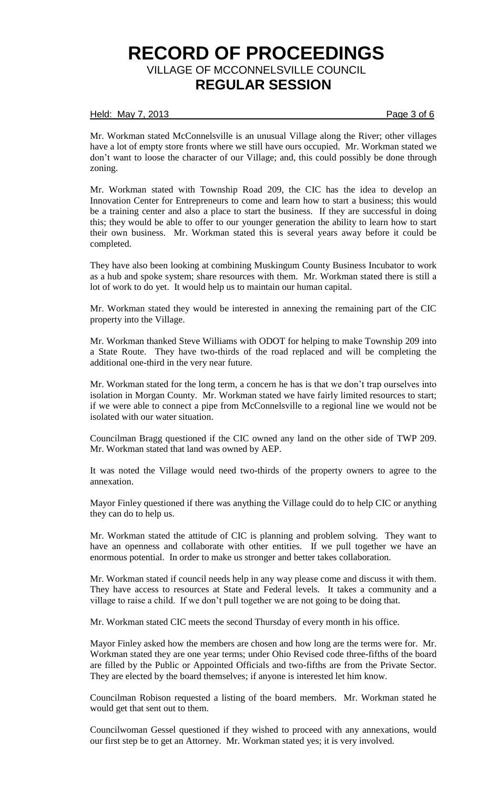### Held: May 7, 2013 **Page 3 of 6**

Mr. Workman stated McConnelsville is an unusual Village along the River; other villages have a lot of empty store fronts where we still have ours occupied. Mr. Workman stated we don't want to loose the character of our Village; and, this could possibly be done through zoning.

Mr. Workman stated with Township Road 209, the CIC has the idea to develop an Innovation Center for Entrepreneurs to come and learn how to start a business; this would be a training center and also a place to start the business. If they are successful in doing this; they would be able to offer to our younger generation the ability to learn how to start their own business. Mr. Workman stated this is several years away before it could be completed.

They have also been looking at combining Muskingum County Business Incubator to work as a hub and spoke system; share resources with them. Mr. Workman stated there is still a lot of work to do yet. It would help us to maintain our human capital.

Mr. Workman stated they would be interested in annexing the remaining part of the CIC property into the Village.

Mr. Workman thanked Steve Williams with ODOT for helping to make Township 209 into a State Route. They have two-thirds of the road replaced and will be completing the additional one-third in the very near future.

Mr. Workman stated for the long term, a concern he has is that we don't trap ourselves into isolation in Morgan County. Mr. Workman stated we have fairly limited resources to start; if we were able to connect a pipe from McConnelsville to a regional line we would not be isolated with our water situation.

Councilman Bragg questioned if the CIC owned any land on the other side of TWP 209. Mr. Workman stated that land was owned by AEP.

It was noted the Village would need two-thirds of the property owners to agree to the annexation.

Mayor Finley questioned if there was anything the Village could do to help CIC or anything they can do to help us.

Mr. Workman stated the attitude of CIC is planning and problem solving. They want to have an openness and collaborate with other entities. If we pull together we have an enormous potential. In order to make us stronger and better takes collaboration.

Mr. Workman stated if council needs help in any way please come and discuss it with them. They have access to resources at State and Federal levels. It takes a community and a village to raise a child. If we don't pull together we are not going to be doing that.

Mr. Workman stated CIC meets the second Thursday of every month in his office.

Mayor Finley asked how the members are chosen and how long are the terms were for. Mr. Workman stated they are one year terms; under Ohio Revised code three-fifths of the board are filled by the Public or Appointed Officials and two-fifths are from the Private Sector. They are elected by the board themselves; if anyone is interested let him know.

Councilman Robison requested a listing of the board members. Mr. Workman stated he would get that sent out to them.

Councilwoman Gessel questioned if they wished to proceed with any annexations, would our first step be to get an Attorney. Mr. Workman stated yes; it is very involved.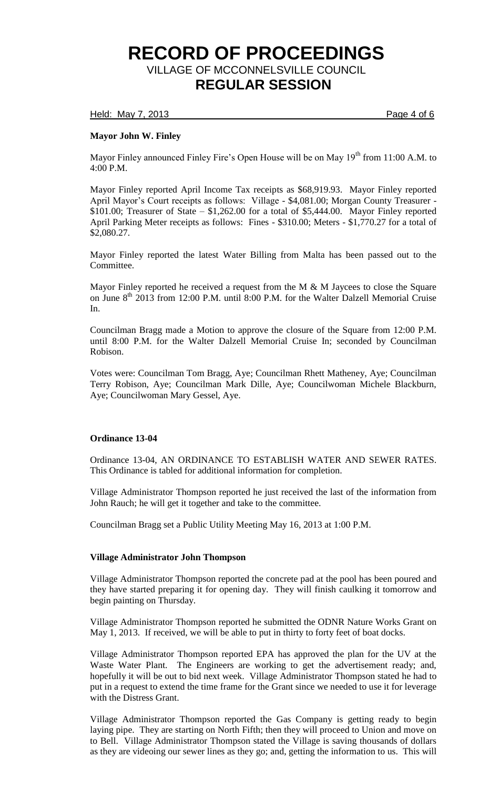Held: May 7, 2013 **Page 4 of 6** 

# **Mayor John W. Finley**

Mayor Finley announced Finley Fire's Open House will be on May  $19<sup>th</sup>$  from 11:00 A.M. to 4:00 P.M.

Mayor Finley reported April Income Tax receipts as \$68,919.93. Mayor Finley reported April Mayor's Court receipts as follows: Village - \$4,081.00; Morgan County Treasurer - \$101.00; Treasurer of State  $-$  \$1,262.00 for a total of \$5,444.00. Mayor Finley reported April Parking Meter receipts as follows: Fines - \$310.00; Meters - \$1,770.27 for a total of \$2,080.27.

Mayor Finley reported the latest Water Billing from Malta has been passed out to the Committee.

Mayor Finley reported he received a request from the M & M Jaycees to close the Square on June  $8<sup>th</sup>$  2013 from 12:00 P.M. until 8:00 P.M. for the Walter Dalzell Memorial Cruise In.

Councilman Bragg made a Motion to approve the closure of the Square from 12:00 P.M. until 8:00 P.M. for the Walter Dalzell Memorial Cruise In; seconded by Councilman Robison.

Votes were: Councilman Tom Bragg, Aye; Councilman Rhett Matheney, Aye; Councilman Terry Robison, Aye; Councilman Mark Dille, Aye; Councilwoman Michele Blackburn, Aye; Councilwoman Mary Gessel, Aye.

# **Ordinance 13-04**

Ordinance 13-04, AN ORDINANCE TO ESTABLISH WATER AND SEWER RATES. This Ordinance is tabled for additional information for completion.

Village Administrator Thompson reported he just received the last of the information from John Rauch; he will get it together and take to the committee.

Councilman Bragg set a Public Utility Meeting May 16, 2013 at 1:00 P.M.

## **Village Administrator John Thompson**

Village Administrator Thompson reported the concrete pad at the pool has been poured and they have started preparing it for opening day. They will finish caulking it tomorrow and begin painting on Thursday.

Village Administrator Thompson reported he submitted the ODNR Nature Works Grant on May 1, 2013. If received, we will be able to put in thirty to forty feet of boat docks.

Village Administrator Thompson reported EPA has approved the plan for the UV at the Waste Water Plant. The Engineers are working to get the advertisement ready; and, hopefully it will be out to bid next week. Village Administrator Thompson stated he had to put in a request to extend the time frame for the Grant since we needed to use it for leverage with the Distress Grant.

Village Administrator Thompson reported the Gas Company is getting ready to begin laying pipe. They are starting on North Fifth; then they will proceed to Union and move on to Bell. Village Administrator Thompson stated the Village is saving thousands of dollars as they are videoing our sewer lines as they go; and, getting the information to us. This will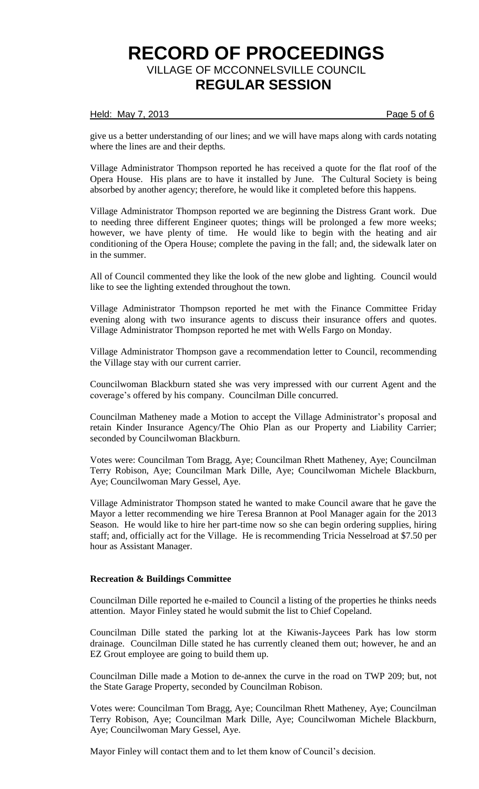# Held: May 7, 2013 **Page 5 of 6**

give us a better understanding of our lines; and we will have maps along with cards notating where the lines are and their depths.

Village Administrator Thompson reported he has received a quote for the flat roof of the Opera House. His plans are to have it installed by June. The Cultural Society is being absorbed by another agency; therefore, he would like it completed before this happens.

Village Administrator Thompson reported we are beginning the Distress Grant work. Due to needing three different Engineer quotes; things will be prolonged a few more weeks; however, we have plenty of time. He would like to begin with the heating and air conditioning of the Opera House; complete the paving in the fall; and, the sidewalk later on in the summer.

All of Council commented they like the look of the new globe and lighting. Council would like to see the lighting extended throughout the town.

Village Administrator Thompson reported he met with the Finance Committee Friday evening along with two insurance agents to discuss their insurance offers and quotes. Village Administrator Thompson reported he met with Wells Fargo on Monday.

Village Administrator Thompson gave a recommendation letter to Council, recommending the Village stay with our current carrier.

Councilwoman Blackburn stated she was very impressed with our current Agent and the coverage's offered by his company. Councilman Dille concurred.

Councilman Matheney made a Motion to accept the Village Administrator's proposal and retain Kinder Insurance Agency/The Ohio Plan as our Property and Liability Carrier; seconded by Councilwoman Blackburn.

Votes were: Councilman Tom Bragg, Aye; Councilman Rhett Matheney, Aye; Councilman Terry Robison, Aye; Councilman Mark Dille, Aye; Councilwoman Michele Blackburn, Aye; Councilwoman Mary Gessel, Aye.

Village Administrator Thompson stated he wanted to make Council aware that he gave the Mayor a letter recommending we hire Teresa Brannon at Pool Manager again for the 2013 Season. He would like to hire her part-time now so she can begin ordering supplies, hiring staff; and, officially act for the Village. He is recommending Tricia Nesselroad at \$7.50 per hour as Assistant Manager.

### **Recreation & Buildings Committee**

Councilman Dille reported he e-mailed to Council a listing of the properties he thinks needs attention. Mayor Finley stated he would submit the list to Chief Copeland.

Councilman Dille stated the parking lot at the Kiwanis-Jaycees Park has low storm drainage. Councilman Dille stated he has currently cleaned them out; however, he and an EZ Grout employee are going to build them up.

Councilman Dille made a Motion to de-annex the curve in the road on TWP 209; but, not the State Garage Property, seconded by Councilman Robison.

Votes were: Councilman Tom Bragg, Aye; Councilman Rhett Matheney, Aye; Councilman Terry Robison, Aye; Councilman Mark Dille, Aye; Councilwoman Michele Blackburn, Aye; Councilwoman Mary Gessel, Aye.

Mayor Finley will contact them and to let them know of Council's decision.